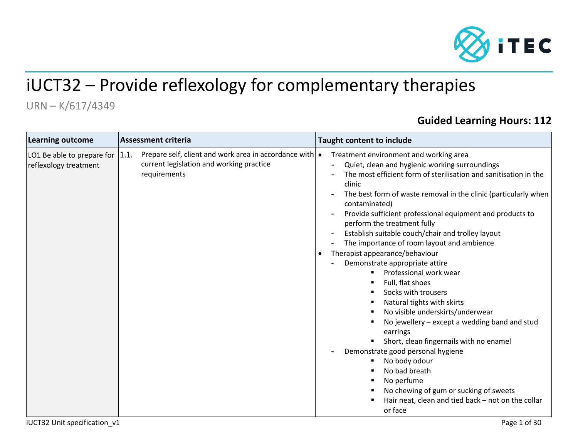

# iUCT32 – Provide reflexology for complementary therapies

## URN – K/617/4349

## **Guided Learning Hours: 112**

| Prepare self, client and work area in accordance with $\bullet$<br> 1.1.<br>LO1 Be able to prepare for<br>current legislation and working practice<br>reflexology treatment<br>requirements<br>$\bullet$ | Treatment environment and working area<br>Quiet, clean and hygienic working surroundings<br>The most efficient form of sterilisation and sanitisation in the<br>clinic<br>The best form of waste removal in the clinic (particularly when<br>$\overline{\phantom{a}}$<br>contaminated)<br>Provide sufficient professional equipment and products to<br>perform the treatment fully<br>Establish suitable couch/chair and trolley layout<br>The importance of room layout and ambience<br>Therapist appearance/behaviour<br>Demonstrate appropriate attire<br>Professional work wear<br>Full, flat shoes<br>Socks with trousers<br>Natural tights with skirts<br>No visible underskirts/underwear<br>No jewellery - except a wedding band and stud<br>earrings<br>Short, clean fingernails with no enamel<br>Demonstrate good personal hygiene<br>No body odour<br>No bad breath<br>No perfume<br>No chewing of gum or sucking of sweets<br>Hair neat, clean and tied back - not on the collar<br>or face |
|----------------------------------------------------------------------------------------------------------------------------------------------------------------------------------------------------------|----------------------------------------------------------------------------------------------------------------------------------------------------------------------------------------------------------------------------------------------------------------------------------------------------------------------------------------------------------------------------------------------------------------------------------------------------------------------------------------------------------------------------------------------------------------------------------------------------------------------------------------------------------------------------------------------------------------------------------------------------------------------------------------------------------------------------------------------------------------------------------------------------------------------------------------------------------------------------------------------------------|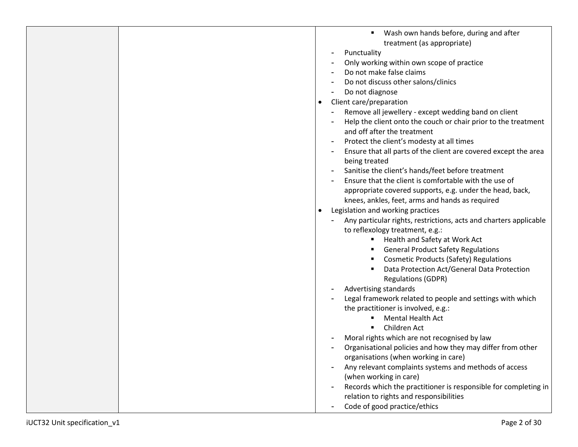|  | Wash own hands before, during and after                           |
|--|-------------------------------------------------------------------|
|  | treatment (as appropriate)                                        |
|  | Punctuality<br>$\overline{\phantom{a}}$                           |
|  | Only working within own scope of practice                         |
|  | Do not make false claims                                          |
|  |                                                                   |
|  | Do not discuss other salons/clinics                               |
|  | Do not diagnose                                                   |
|  | Client care/preparation<br>$\bullet$                              |
|  | Remove all jewellery - except wedding band on client              |
|  | Help the client onto the couch or chair prior to the treatment    |
|  | and off after the treatment                                       |
|  | Protect the client's modesty at all times                         |
|  | Ensure that all parts of the client are covered except the area   |
|  | being treated                                                     |
|  | Sanitise the client's hands/feet before treatment                 |
|  | Ensure that the client is comfortable with the use of             |
|  | appropriate covered supports, e.g. under the head, back,          |
|  |                                                                   |
|  | knees, ankles, feet, arms and hands as required                   |
|  | Legislation and working practices<br>$\bullet$                    |
|  | Any particular rights, restrictions, acts and charters applicable |
|  | to reflexology treatment, e.g.:                                   |
|  | Health and Safety at Work Act                                     |
|  | <b>General Product Safety Regulations</b>                         |
|  | <b>Cosmetic Products (Safety) Regulations</b>                     |
|  | Data Protection Act/General Data Protection                       |
|  | <b>Regulations (GDPR)</b>                                         |
|  | Advertising standards<br>$\blacksquare$                           |
|  | Legal framework related to people and settings with which         |
|  | the practitioner is involved, e.g.:                               |
|  | <b>Mental Health Act</b>                                          |
|  | Children Act                                                      |
|  | Moral rights which are not recognised by law                      |
|  |                                                                   |
|  | Organisational policies and how they may differ from other        |
|  | organisations (when working in care)                              |
|  | Any relevant complaints systems and methods of access             |
|  | (when working in care)                                            |
|  | Records which the practitioner is responsible for completing in   |
|  | relation to rights and responsibilities                           |
|  | Code of good practice/ethics                                      |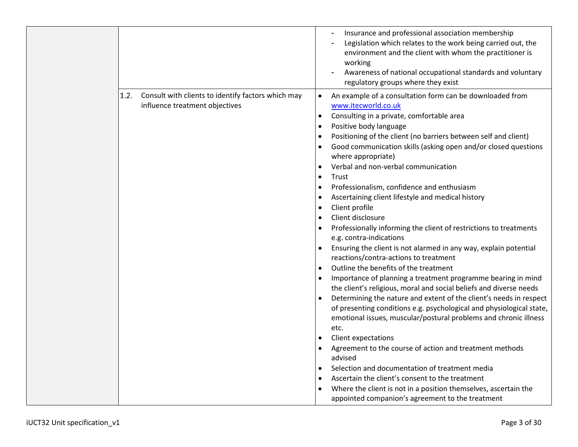|                                                                                              | Insurance and professional association membership<br>Legislation which relates to the work being carried out, the<br>environment and the client with whom the practitioner is<br>working<br>Awareness of national occupational standards and voluntary<br>regulatory groups where they exist                                                                                                                                                                                                                                                                                                                                                                                                                                                                                                                                                                                                                                                                                                                                                                                                                                                                                                                                                                                                                                                                                                                                                                                                                                                                                                 |
|----------------------------------------------------------------------------------------------|----------------------------------------------------------------------------------------------------------------------------------------------------------------------------------------------------------------------------------------------------------------------------------------------------------------------------------------------------------------------------------------------------------------------------------------------------------------------------------------------------------------------------------------------------------------------------------------------------------------------------------------------------------------------------------------------------------------------------------------------------------------------------------------------------------------------------------------------------------------------------------------------------------------------------------------------------------------------------------------------------------------------------------------------------------------------------------------------------------------------------------------------------------------------------------------------------------------------------------------------------------------------------------------------------------------------------------------------------------------------------------------------------------------------------------------------------------------------------------------------------------------------------------------------------------------------------------------------|
| Consult with clients to identify factors which may<br>1.2.<br>influence treatment objectives | An example of a consultation form can be downloaded from<br>$\bullet$<br>www.itecworld.co.uk<br>Consulting in a private, comfortable area<br>$\bullet$<br>Positive body language<br>$\bullet$<br>Positioning of the client (no barriers between self and client)<br>$\bullet$<br>Good communication skills (asking open and/or closed questions<br>where appropriate)<br>Verbal and non-verbal communication<br>Trust<br>$\bullet$<br>Professionalism, confidence and enthusiasm<br>$\bullet$<br>Ascertaining client lifestyle and medical history<br>Client profile<br>$\bullet$<br>Client disclosure<br>$\bullet$<br>Professionally informing the client of restrictions to treatments<br>e.g. contra-indications<br>Ensuring the client is not alarmed in any way, explain potential<br>reactions/contra-actions to treatment<br>Outline the benefits of the treatment<br>$\bullet$<br>Importance of planning a treatment programme bearing in mind<br>the client's religious, moral and social beliefs and diverse needs<br>Determining the nature and extent of the client's needs in respect<br>of presenting conditions e.g. psychological and physiological state,<br>emotional issues, muscular/postural problems and chronic illness<br>etc.<br>Client expectations<br>Agreement to the course of action and treatment methods<br>advised<br>Selection and documentation of treatment media<br>Ascertain the client's consent to the treatment<br>$\bullet$<br>Where the client is not in a position themselves, ascertain the<br>appointed companion's agreement to the treatment |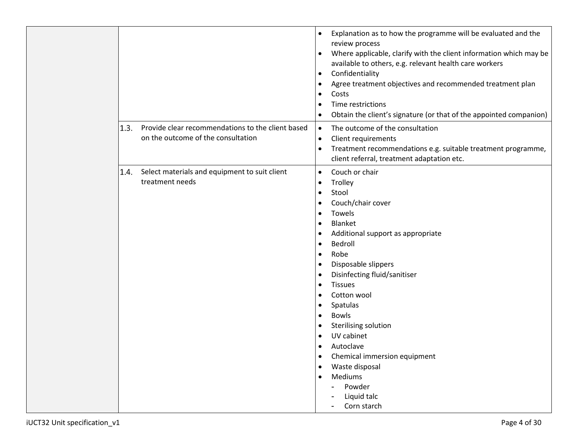|      |                                                                                         | Explanation as to how the programme will be evaluated and the<br>$\bullet$<br>review process<br>Where applicable, clarify with the client information which may be<br>$\bullet$<br>available to others, e.g. relevant health care workers<br>Confidentiality<br>$\bullet$<br>Agree treatment objectives and recommended treatment plan<br>$\bullet$<br>Costs<br>$\bullet$<br>Time restrictions<br>$\bullet$<br>Obtain the client's signature (or that of the appointed companion)<br>$\bullet$                                                                                                                                                                                                                 |
|------|-----------------------------------------------------------------------------------------|----------------------------------------------------------------------------------------------------------------------------------------------------------------------------------------------------------------------------------------------------------------------------------------------------------------------------------------------------------------------------------------------------------------------------------------------------------------------------------------------------------------------------------------------------------------------------------------------------------------------------------------------------------------------------------------------------------------|
| 1.3. | Provide clear recommendations to the client based<br>on the outcome of the consultation | The outcome of the consultation<br>$\bullet$<br>Client requirements<br>$\bullet$<br>Treatment recommendations e.g. suitable treatment programme,<br>$\bullet$<br>client referral, treatment adaptation etc.                                                                                                                                                                                                                                                                                                                                                                                                                                                                                                    |
| 1.4. | Select materials and equipment to suit client<br>treatment needs                        | Couch or chair<br>$\bullet$<br>Trolley<br>$\bullet$<br>Stool<br>$\bullet$<br>Couch/chair cover<br>$\bullet$<br>Towels<br>$\bullet$<br><b>Blanket</b><br>$\bullet$<br>Additional support as appropriate<br>$\bullet$<br>Bedroll<br>$\bullet$<br>Robe<br>$\bullet$<br>Disposable slippers<br>$\bullet$<br>Disinfecting fluid/sanitiser<br>$\bullet$<br><b>Tissues</b><br>$\bullet$<br>Cotton wool<br>$\bullet$<br>Spatulas<br>$\bullet$<br><b>Bowls</b><br>$\bullet$<br>Sterilising solution<br>$\bullet$<br>UV cabinet<br>$\bullet$<br>Autoclave<br>$\bullet$<br>Chemical immersion equipment<br>$\bullet$<br>Waste disposal<br>$\bullet$<br>Mediums<br>$\bullet$<br>Powder<br>÷,<br>Liquid talc<br>Corn starch |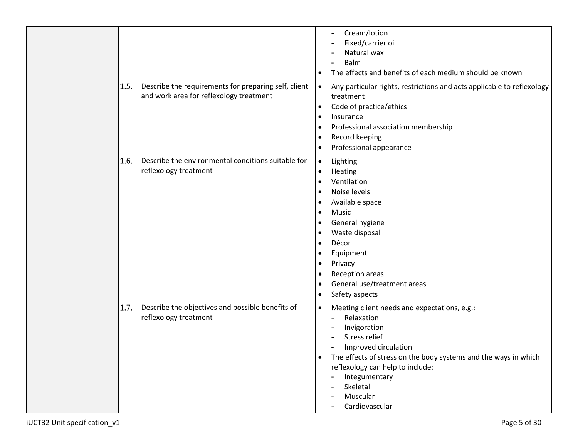|      |                                                                                                 | $\bullet$                                                                                                                                                     | Cream/lotion<br>$\blacksquare$<br>Fixed/carrier oil<br>Natural wax<br>Balm<br>The effects and benefits of each medium should be known                                                                                                                                                       |
|------|-------------------------------------------------------------------------------------------------|---------------------------------------------------------------------------------------------------------------------------------------------------------------|---------------------------------------------------------------------------------------------------------------------------------------------------------------------------------------------------------------------------------------------------------------------------------------------|
| 1.5. | Describe the requirements for preparing self, client<br>and work area for reflexology treatment | $\bullet$<br>$\bullet$<br>$\bullet$<br>$\bullet$<br>$\bullet$                                                                                                 | Any particular rights, restrictions and acts applicable to reflexology<br>treatment<br>Code of practice/ethics<br>Insurance<br>Professional association membership<br>Record keeping<br>Professional appearance                                                                             |
| 1.6. | Describe the environmental conditions suitable for<br>reflexology treatment                     | $\bullet$<br>$\bullet$<br>$\bullet$<br>$\bullet$<br>$\bullet$<br>$\bullet$<br>$\bullet$<br>$\bullet$<br>$\bullet$<br>$\bullet$<br>$\bullet$<br>٠<br>$\bullet$ | Lighting<br>Heating<br>Ventilation<br>Noise levels<br>Available space<br>Music<br>General hygiene<br>Waste disposal<br>Décor<br>Equipment<br>Privacy<br>Reception areas<br>General use/treatment areas<br>Safety aspects                                                                    |
| 1.7. | Describe the objectives and possible benefits of<br>reflexology treatment                       | $\bullet$                                                                                                                                                     | Meeting client needs and expectations, e.g.:<br>Relaxation<br>Ξ.<br>Invigoration<br>Stress relief<br>Improved circulation<br>The effects of stress on the body systems and the ways in which<br>reflexology can help to include:<br>Integumentary<br>Skeletal<br>Muscular<br>Cardiovascular |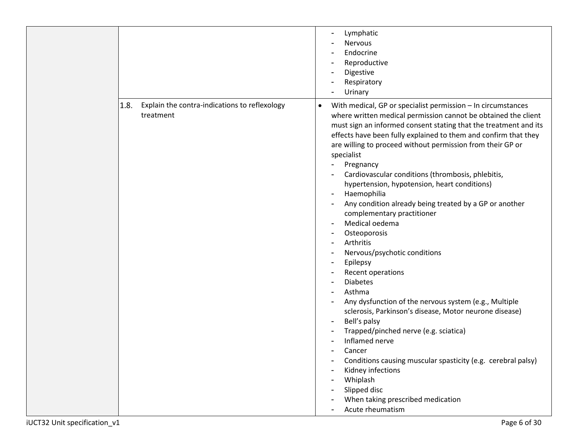|                                                                    | Lymphatic<br>Nervous<br>Endocrine<br>Reproductive<br>$\overline{\phantom{0}}$<br>Digestive<br>Respiratory<br>Urinary                                                                                                                                                                                                                                                                                                                                                                                                                                                                                                                                                                                                                                                                                                                                                                                                                                                                                                                                                                                                                                                                                                               |
|--------------------------------------------------------------------|------------------------------------------------------------------------------------------------------------------------------------------------------------------------------------------------------------------------------------------------------------------------------------------------------------------------------------------------------------------------------------------------------------------------------------------------------------------------------------------------------------------------------------------------------------------------------------------------------------------------------------------------------------------------------------------------------------------------------------------------------------------------------------------------------------------------------------------------------------------------------------------------------------------------------------------------------------------------------------------------------------------------------------------------------------------------------------------------------------------------------------------------------------------------------------------------------------------------------------|
| 1.8.<br>Explain the contra-indications to reflexology<br>treatment | With medical, GP or specialist permission - In circumstances<br>$\bullet$<br>where written medical permission cannot be obtained the client<br>must sign an informed consent stating that the treatment and its<br>effects have been fully explained to them and confirm that they<br>are willing to proceed without permission from their GP or<br>specialist<br>Pregnancy<br>Cardiovascular conditions (thrombosis, phlebitis,<br>hypertension, hypotension, heart conditions)<br>Haemophilia<br>$\qquad \qquad$<br>Any condition already being treated by a GP or another<br>complementary practitioner<br>Medical oedema<br>٠<br>Osteoporosis<br>Arthritis<br>Nervous/psychotic conditions<br>$\overline{\phantom{a}}$<br>Epilepsy<br>$\overline{\phantom{a}}$<br>Recent operations<br><b>Diabetes</b><br>Asthma<br>Any dysfunction of the nervous system (e.g., Multiple<br>sclerosis, Parkinson's disease, Motor neurone disease)<br>Bell's palsy<br>$\overline{\phantom{a}}$<br>Trapped/pinched nerve (e.g. sciatica)<br>Inflamed nerve<br>Cancer<br>Conditions causing muscular spasticity (e.g. cerebral palsy)<br>Kidney infections<br>Whiplash<br>Slipped disc<br>When taking prescribed medication<br>Acute rheumatism |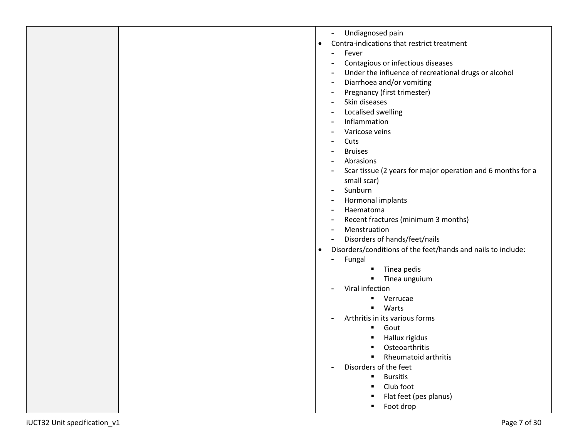|  |   | ۰ | Undiagnosed pain                                             |
|--|---|---|--------------------------------------------------------------|
|  | ٠ |   | Contra-indications that restrict treatment                   |
|  |   |   | Fever                                                        |
|  |   |   | Contagious or infectious diseases                            |
|  |   |   | Under the influence of recreational drugs or alcohol         |
|  |   | ۰ | Diarrhoea and/or vomiting                                    |
|  |   |   | Pregnancy (first trimester)                                  |
|  |   |   | Skin diseases                                                |
|  |   |   | Localised swelling                                           |
|  |   |   | Inflammation                                                 |
|  |   |   | Varicose veins                                               |
|  |   |   | Cuts                                                         |
|  |   |   | <b>Bruises</b>                                               |
|  |   |   | Abrasions                                                    |
|  |   |   | Scar tissue (2 years for major operation and 6 months for a  |
|  |   |   | small scar)                                                  |
|  |   |   | Sunburn                                                      |
|  |   |   | Hormonal implants                                            |
|  |   |   | Haematoma                                                    |
|  |   |   | Recent fractures (minimum 3 months)                          |
|  |   |   | Menstruation                                                 |
|  |   |   | Disorders of hands/feet/nails                                |
|  | ٠ |   | Disorders/conditions of the feet/hands and nails to include: |
|  |   |   | Fungal                                                       |
|  |   |   | Tinea pedis<br>п                                             |
|  |   |   | Tinea unguium                                                |
|  |   |   | Viral infection                                              |
|  |   |   | Verrucae<br>٠                                                |
|  |   |   | Warts<br>٠                                                   |
|  |   |   | Arthritis in its various forms                               |
|  |   |   | Gout<br>٠                                                    |
|  |   |   | Hallux rigidus                                               |
|  |   |   | Osteoarthritis<br>٠                                          |
|  |   |   | <b>Rheumatoid arthritis</b>                                  |
|  |   |   | Disorders of the feet                                        |
|  |   |   | <b>Bursitis</b><br>٠                                         |
|  |   |   | Club foot                                                    |
|  |   |   | Flat feet (pes planus)                                       |
|  |   |   | Foot drop                                                    |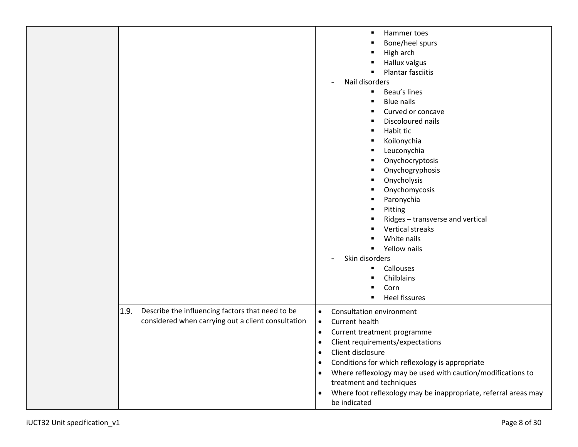|                                                                                                                | Hammer toes<br>٠<br>Bone/heel spurs<br>High arch<br>Hallux valgus<br>п<br><b>Plantar fasciitis</b><br>$\blacksquare$<br>Nail disorders<br>$\blacksquare$<br>Beau's lines<br>٠<br><b>Blue nails</b><br>Curved or concave<br>٠<br>Discoloured nails<br>٠<br>Habit tic<br>٠<br>Koilonychia<br>٠<br>Leuconychia<br>٠<br>Onychocryptosis<br>٠<br>Onychogryphosis<br>Onycholysis<br>Onychomycosis<br>Paronychia<br>٠<br>Pitting<br>Ridges - transverse and vertical<br>Vertical streaks<br>White nails<br>٠<br>Yellow nails<br>٠<br>Skin disorders<br>$\overline{\phantom{a}}$<br>Callouses<br>٠<br>Chilblains<br>п<br>Corn<br>Heel fissures<br>٠ |
|----------------------------------------------------------------------------------------------------------------|---------------------------------------------------------------------------------------------------------------------------------------------------------------------------------------------------------------------------------------------------------------------------------------------------------------------------------------------------------------------------------------------------------------------------------------------------------------------------------------------------------------------------------------------------------------------------------------------------------------------------------------------|
| 1.9.<br>Describe the influencing factors that need to be<br>considered when carrying out a client consultation | Consultation environment<br>$\bullet$<br>Current health<br>$\bullet$<br>Current treatment programme<br>$\bullet$<br>Client requirements/expectations<br>$\bullet$<br>Client disclosure<br>Conditions for which reflexology is appropriate<br>$\bullet$<br>Where reflexology may be used with caution/modifications to<br>$\bullet$<br>treatment and techniques<br>Where foot reflexology may be inappropriate, referral areas may<br>$\bullet$<br>be indicated                                                                                                                                                                              |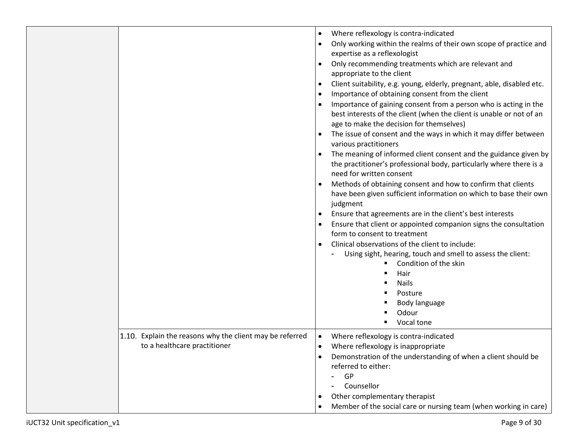|                                                                                          | Where reflexology is contra-indicated<br>$\bullet$<br>Only working within the realms of their own scope of practice and<br>expertise as a reflexologist<br>Only recommending treatments which are relevant and<br>appropriate to the client<br>Client suitability, e.g. young, elderly, pregnant, able, disabled etc.<br>$\bullet$<br>Importance of obtaining consent from the client<br>$\bullet$<br>Importance of gaining consent from a person who is acting in the<br>best interests of the client (when the client is unable or not of an<br>age to make the decision for themselves)<br>The issue of consent and the ways in which it may differ between<br>various practitioners<br>The meaning of informed client consent and the guidance given by<br>the practitioner's professional body, particularly where there is a<br>need for written consent<br>Methods of obtaining consent and how to confirm that clients<br>have been given sufficient information on which to base their own<br>judgment<br>Ensure that agreements are in the client's best interests<br>Ensure that client or appointed companion signs the consultation<br>form to consent to treatment<br>Clinical observations of the client to include:<br>Using sight, hearing, touch and smell to assess the client:<br>Condition of the skin<br>Hair<br><b>Nails</b><br>Posture<br>Body language<br>Odour<br>Vocal tone |
|------------------------------------------------------------------------------------------|--------------------------------------------------------------------------------------------------------------------------------------------------------------------------------------------------------------------------------------------------------------------------------------------------------------------------------------------------------------------------------------------------------------------------------------------------------------------------------------------------------------------------------------------------------------------------------------------------------------------------------------------------------------------------------------------------------------------------------------------------------------------------------------------------------------------------------------------------------------------------------------------------------------------------------------------------------------------------------------------------------------------------------------------------------------------------------------------------------------------------------------------------------------------------------------------------------------------------------------------------------------------------------------------------------------------------------------------------------------------------------------------------------|
| 1.10. Explain the reasons why the client may be referred<br>to a healthcare practitioner | Where reflexology is contra-indicated<br>$\bullet$<br>Where reflexology is inappropriate<br>$\bullet$<br>Demonstration of the understanding of when a client should be<br>referred to either:<br>GP<br>Counsellor<br>Other complementary therapist<br>Member of the social care or nursing team (when working in care)                                                                                                                                                                                                                                                                                                                                                                                                                                                                                                                                                                                                                                                                                                                                                                                                                                                                                                                                                                                                                                                                                 |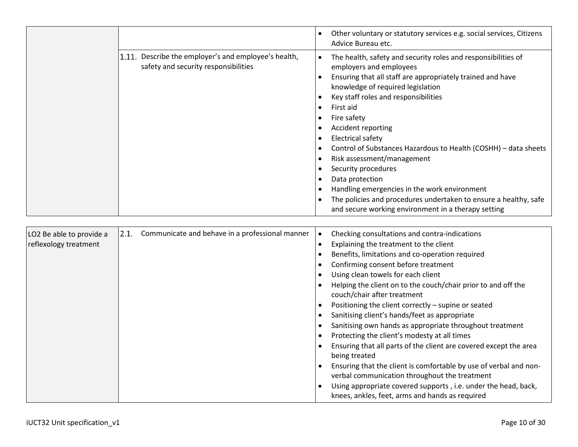|                                                                                              | Other voluntary or statutory services e.g. social services, Citizens<br>Advice Bureau etc.                                                                                                                                                                                                                                                                                                                                                                                                                                                                                                                                       |
|----------------------------------------------------------------------------------------------|----------------------------------------------------------------------------------------------------------------------------------------------------------------------------------------------------------------------------------------------------------------------------------------------------------------------------------------------------------------------------------------------------------------------------------------------------------------------------------------------------------------------------------------------------------------------------------------------------------------------------------|
| 1.11. Describe the employer's and employee's health,<br>safety and security responsibilities | The health, safety and security roles and responsibilities of<br>employers and employees<br>Ensuring that all staff are appropriately trained and have<br>knowledge of required legislation<br>Key staff roles and responsibilities<br>First aid<br>Fire safety<br>Accident reporting<br>Electrical safety<br>Control of Substances Hazardous to Health (COSHH) - data sheets<br>Risk assessment/management<br>Security procedures<br>Data protection<br>Handling emergencies in the work environment<br>The policies and procedures undertaken to ensure a healthy, safe<br>and secure working environment in a therapy setting |

| LO2 Be able to provide a<br>reflexology treatment | 2.1. | Communicate and behave in a professional manner | Checking consultations and contra-indications<br>Explaining the treatment to the client<br>Benefits, limitations and co-operation required<br>Confirming consent before treatment<br>Using clean towels for each client<br>Helping the client on to the couch/chair prior to and off the<br>couch/chair after treatment<br>Positioning the client correctly - supine or seated<br>Sanitising client's hands/feet as appropriate<br>Sanitising own hands as appropriate throughout treatment<br>Protecting the client's modesty at all times<br>Ensuring that all parts of the client are covered except the area<br>being treated<br>Ensuring that the client is comfortable by use of verbal and non- |
|---------------------------------------------------|------|-------------------------------------------------|--------------------------------------------------------------------------------------------------------------------------------------------------------------------------------------------------------------------------------------------------------------------------------------------------------------------------------------------------------------------------------------------------------------------------------------------------------------------------------------------------------------------------------------------------------------------------------------------------------------------------------------------------------------------------------------------------------|
|                                                   |      |                                                 | verbal communication throughout the treatment<br>Using appropriate covered supports, i.e. under the head, back,<br>knees, ankles, feet, arms and hands as required                                                                                                                                                                                                                                                                                                                                                                                                                                                                                                                                     |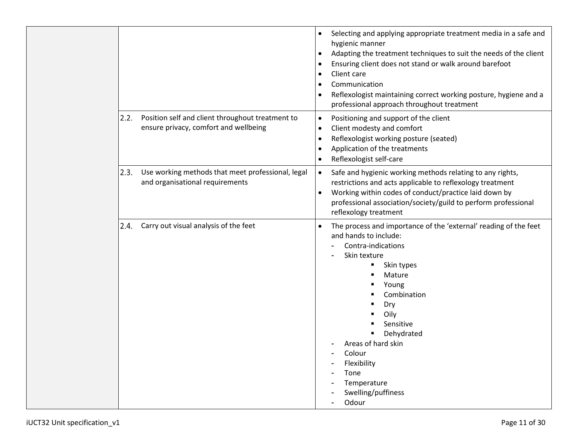|      |                                                                                           | Selecting and applying appropriate treatment media in a safe and<br>$\bullet$<br>hygienic manner<br>Adapting the treatment techniques to suit the needs of the client<br>$\bullet$<br>Ensuring client does not stand or walk around barefoot<br>$\bullet$<br>Client care<br>$\bullet$<br>Communication<br>$\bullet$<br>Reflexologist maintaining correct working posture, hygiene and a<br>$\bullet$<br>professional approach throughout treatment |
|------|-------------------------------------------------------------------------------------------|----------------------------------------------------------------------------------------------------------------------------------------------------------------------------------------------------------------------------------------------------------------------------------------------------------------------------------------------------------------------------------------------------------------------------------------------------|
| 2.2. | Position self and client throughout treatment to<br>ensure privacy, comfort and wellbeing | Positioning and support of the client<br>$\bullet$<br>Client modesty and comfort<br>$\bullet$<br>Reflexologist working posture (seated)<br>$\bullet$<br>Application of the treatments<br>$\bullet$<br>Reflexologist self-care                                                                                                                                                                                                                      |
| 2.3. | Use working methods that meet professional, legal<br>and organisational requirements      | Safe and hygienic working methods relating to any rights,<br>$\bullet$<br>restrictions and acts applicable to reflexology treatment<br>Working within codes of conduct/practice laid down by<br>$\bullet$<br>professional association/society/guild to perform professional<br>reflexology treatment                                                                                                                                               |
| 2.4. | Carry out visual analysis of the feet                                                     | The process and importance of the 'external' reading of the feet<br>$\bullet$<br>and hands to include:<br>Contra-indications<br>Skin texture<br>Skin types<br>Mature<br>Young<br>Combination<br>Dry<br>Oily<br>Sensitive<br>Dehydrated<br>Areas of hard skin<br>Colour<br>Flexibility<br>Tone<br>Temperature<br>Swelling/puffiness<br>Odour                                                                                                        |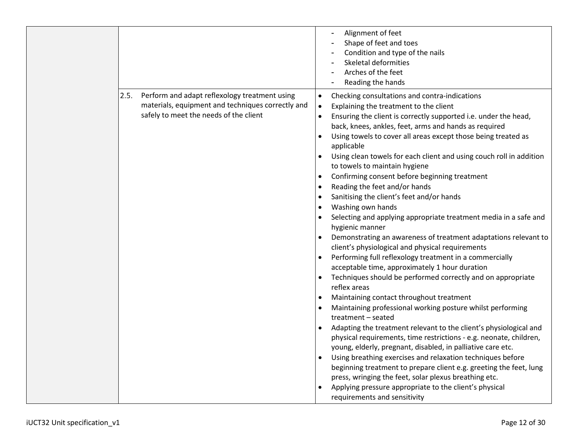|                                                                                                                                                      | Alignment of feet<br>Shape of feet and toes<br>Condition and type of the nails<br>Skeletal deformities<br>Arches of the feet<br>Reading the hands                                                                                                                                                                                                                                                                                                                                                                                                                                                                                                                                                                                                                                                                                                                                                                                                                                                                                                                                                                                                                                                                                                                                                                                                                                                                                                                                                                                                                                                                                                                                                                                                                     |
|------------------------------------------------------------------------------------------------------------------------------------------------------|-----------------------------------------------------------------------------------------------------------------------------------------------------------------------------------------------------------------------------------------------------------------------------------------------------------------------------------------------------------------------------------------------------------------------------------------------------------------------------------------------------------------------------------------------------------------------------------------------------------------------------------------------------------------------------------------------------------------------------------------------------------------------------------------------------------------------------------------------------------------------------------------------------------------------------------------------------------------------------------------------------------------------------------------------------------------------------------------------------------------------------------------------------------------------------------------------------------------------------------------------------------------------------------------------------------------------------------------------------------------------------------------------------------------------------------------------------------------------------------------------------------------------------------------------------------------------------------------------------------------------------------------------------------------------------------------------------------------------------------------------------------------------|
| Perform and adapt reflexology treatment using<br>2.5.<br>materials, equipment and techniques correctly and<br>safely to meet the needs of the client | Checking consultations and contra-indications<br>$\bullet$<br>Explaining the treatment to the client<br>$\bullet$<br>Ensuring the client is correctly supported i.e. under the head,<br>$\bullet$<br>back, knees, ankles, feet, arms and hands as required<br>Using towels to cover all areas except those being treated as<br>$\bullet$<br>applicable<br>Using clean towels for each client and using couch roll in addition<br>to towels to maintain hygiene<br>Confirming consent before beginning treatment<br>$\bullet$<br>Reading the feet and/or hands<br>$\bullet$<br>Sanitising the client's feet and/or hands<br>$\bullet$<br>Washing own hands<br>$\bullet$<br>Selecting and applying appropriate treatment media in a safe and<br>hygienic manner<br>Demonstrating an awareness of treatment adaptations relevant to<br>client's physiological and physical requirements<br>Performing full reflexology treatment in a commercially<br>$\bullet$<br>acceptable time, approximately 1 hour duration<br>Techniques should be performed correctly and on appropriate<br>reflex areas<br>Maintaining contact throughout treatment<br>$\bullet$<br>Maintaining professional working posture whilst performing<br>treatment - seated<br>Adapting the treatment relevant to the client's physiological and<br>$\bullet$<br>physical requirements, time restrictions - e.g. neonate, children,<br>young, elderly, pregnant, disabled, in palliative care etc.<br>Using breathing exercises and relaxation techniques before<br>$\bullet$<br>beginning treatment to prepare client e.g. greeting the feet, lung<br>press, wringing the feet, solar plexus breathing etc.<br>Applying pressure appropriate to the client's physical<br>requirements and sensitivity |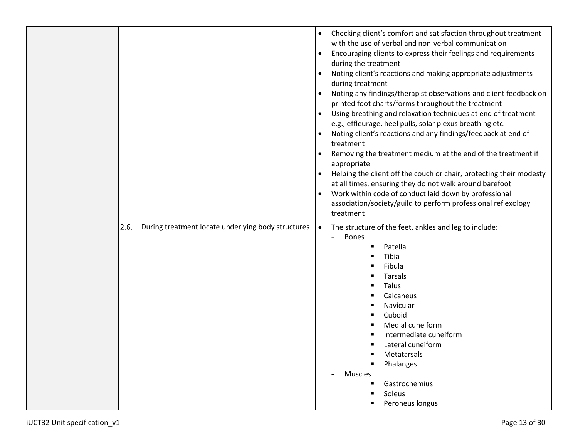|      |                                                    | $\bullet$<br>$\bullet$ | Checking client's comfort and satisfaction throughout treatment<br>with the use of verbal and non-verbal communication<br>Encouraging clients to express their feelings and requirements<br>during the treatment |
|------|----------------------------------------------------|------------------------|------------------------------------------------------------------------------------------------------------------------------------------------------------------------------------------------------------------|
|      |                                                    | $\bullet$              | Noting client's reactions and making appropriate adjustments<br>during treatment                                                                                                                                 |
|      |                                                    |                        | Noting any findings/therapist observations and client feedback on<br>printed foot charts/forms throughout the treatment                                                                                          |
|      |                                                    | $\bullet$              | Using breathing and relaxation techniques at end of treatment<br>e.g., effleurage, heel pulls, solar plexus breathing etc.                                                                                       |
|      |                                                    |                        | Noting client's reactions and any findings/feedback at end of<br>treatment                                                                                                                                       |
|      |                                                    | $\bullet$              | Removing the treatment medium at the end of the treatment if<br>appropriate                                                                                                                                      |
|      |                                                    | $\bullet$              | Helping the client off the couch or chair, protecting their modesty                                                                                                                                              |
|      |                                                    | $\bullet$              | at all times, ensuring they do not walk around barefoot<br>Work within code of conduct laid down by professional                                                                                                 |
|      |                                                    |                        | association/society/guild to perform professional reflexology                                                                                                                                                    |
|      |                                                    |                        | treatment                                                                                                                                                                                                        |
| 2.6. | During treatment locate underlying body structures | $\bullet$              | The structure of the feet, ankles and leg to include:<br><b>Bones</b><br>$\blacksquare$                                                                                                                          |
|      |                                                    |                        | Patella                                                                                                                                                                                                          |
|      |                                                    |                        | Tibia                                                                                                                                                                                                            |
|      |                                                    |                        | Fibula                                                                                                                                                                                                           |
|      |                                                    |                        | <b>Tarsals</b>                                                                                                                                                                                                   |
|      |                                                    |                        | Talus                                                                                                                                                                                                            |
|      |                                                    |                        | Calcaneus<br>Navicular                                                                                                                                                                                           |
|      |                                                    |                        | Cuboid                                                                                                                                                                                                           |
|      |                                                    |                        | Medial cuneiform                                                                                                                                                                                                 |
|      |                                                    |                        | Intermediate cuneiform                                                                                                                                                                                           |
|      |                                                    |                        | Lateral cuneiform                                                                                                                                                                                                |
|      |                                                    |                        | Metatarsals                                                                                                                                                                                                      |
|      |                                                    |                        | Phalanges                                                                                                                                                                                                        |
|      |                                                    |                        | Muscles                                                                                                                                                                                                          |
|      |                                                    |                        | Gastrocnemius                                                                                                                                                                                                    |
|      |                                                    |                        | Soleus                                                                                                                                                                                                           |
|      |                                                    |                        | Peroneus longus                                                                                                                                                                                                  |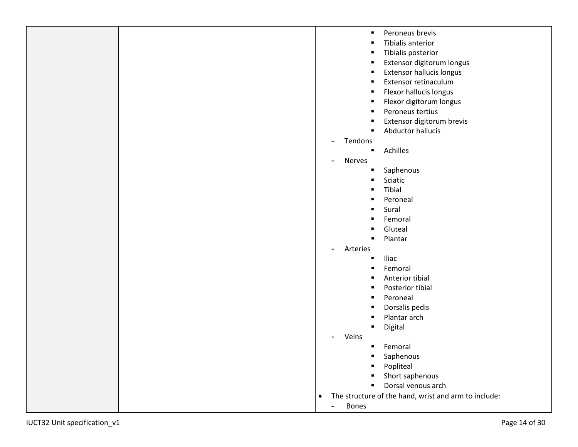|                             | $\blacksquare$                 | Peroneus brevis                                      |
|-----------------------------|--------------------------------|------------------------------------------------------|
|                             |                                | Tibialis anterior                                    |
|                             |                                | Tibialis posterior                                   |
|                             | п                              | Extensor digitorum longus                            |
|                             | п                              | <b>Extensor hallucis longus</b>                      |
|                             | п                              | Extensor retinaculum                                 |
|                             | п                              | Flexor hallucis longus                               |
|                             | п                              | Flexor digitorum longus                              |
|                             | п                              | Peroneus tertius                                     |
|                             |                                | Extensor digitorum brevis                            |
|                             |                                | Abductor hallucis                                    |
|                             | Tendons                        |                                                      |
|                             | $\blacksquare$                 | Achilles                                             |
|                             | Nerves                         |                                                      |
|                             |                                | Saphenous                                            |
|                             |                                | Sciatic                                              |
|                             |                                | Tibial                                               |
|                             |                                | Peroneal                                             |
|                             |                                | Sural                                                |
|                             |                                | Femoral                                              |
|                             |                                | Gluteal                                              |
|                             |                                | Plantar                                              |
|                             | Arteries                       |                                                      |
|                             |                                | Iliac                                                |
|                             |                                | Femoral                                              |
|                             |                                | Anterior tibial                                      |
|                             |                                | Posterior tibial                                     |
|                             | п                              | Peroneal                                             |
|                             |                                | Dorsalis pedis                                       |
|                             |                                | Plantar arch                                         |
|                             |                                | Digital                                              |
|                             | Veins                          |                                                      |
|                             | ٠                              | Femoral                                              |
|                             | $\blacksquare$                 | Saphenous                                            |
|                             |                                | Popliteal                                            |
|                             |                                | Short saphenous                                      |
|                             |                                | Dorsal venous arch                                   |
|                             | $\bullet$                      | The structure of the hand, wrist and arm to include: |
|                             | <b>Bones</b><br>$\blacksquare$ |                                                      |
|                             |                                |                                                      |
| UCT32 Unit specification_v1 |                                | Page 14 of 30                                        |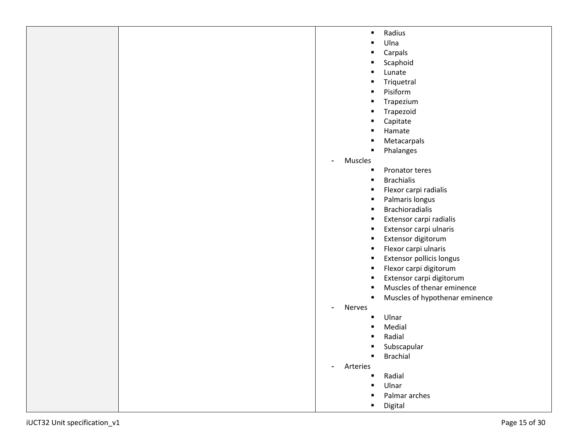|                              | Radius<br>$\blacksquare$        |
|------------------------------|---------------------------------|
|                              | Ulna<br>п                       |
|                              | Carpals<br>п                    |
|                              | Scaphoid<br>п                   |
|                              | Lunate                          |
|                              | Triquetral<br>п                 |
|                              | Pisiform                        |
|                              | Trapezium<br>п                  |
|                              | Trapezoid                       |
|                              | Capitate<br>Е                   |
|                              | Hamate                          |
|                              | Metacarpals                     |
|                              | Phalanges                       |
|                              | Muscles<br>$\blacksquare$       |
|                              | Pronator teres<br>п             |
|                              | <b>Brachialis</b><br>п          |
|                              | Flexor carpi radialis<br>п      |
|                              | Palmaris longus<br>в            |
|                              | <b>Brachioradialis</b><br>в     |
|                              | Extensor carpi radialis<br>в    |
|                              | Extensor carpi ulnaris<br>п     |
|                              | Extensor digitorum<br>п         |
|                              | Flexor carpi ulnaris<br>п       |
|                              | Extensor pollicis longus<br>в   |
|                              | Flexor carpi digitorum<br>п     |
|                              | Extensor carpi digitorum<br>Е   |
|                              | Muscles of thenar eminence      |
|                              | Muscles of hypothenar eminence  |
|                              | Nerves<br>$\blacksquare$        |
|                              | Ulnar                           |
|                              | Medial                          |
|                              | Radial                          |
|                              | Subscapular                     |
|                              | <b>Brachial</b><br>٠            |
|                              | Arteries<br>$\blacksquare$      |
|                              | Radial<br>п                     |
|                              | Ulnar<br>Е                      |
|                              | Palmar arches<br>$\blacksquare$ |
|                              | $\blacksquare$                  |
| iUCT32 Unit specification_v1 | Digital<br>Page 15 of 30        |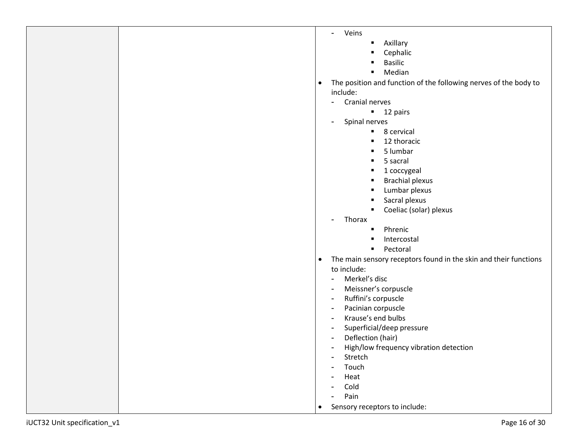|                             | Veins<br>$\overline{\phantom{0}}$                                             |
|-----------------------------|-------------------------------------------------------------------------------|
|                             | Axillary<br>٠                                                                 |
|                             | Cephalic                                                                      |
|                             | <b>Basilic</b>                                                                |
|                             | Median<br>٠                                                                   |
|                             | The position and function of the following nerves of the body to<br>$\bullet$ |
|                             | include:                                                                      |
|                             | Cranial nerves<br>$\blacksquare$                                              |
|                             | $\blacksquare$ 12 pairs                                                       |
|                             | Spinal nerves<br>$\blacksquare$                                               |
|                             | 8 cervical<br>٠.                                                              |
|                             | 12 thoracic                                                                   |
|                             | 5 lumbar                                                                      |
|                             | 5 sacral                                                                      |
|                             |                                                                               |
|                             | 1 coccygeal                                                                   |
|                             | <b>Brachial plexus</b>                                                        |
|                             | Lumbar plexus                                                                 |
|                             | Sacral plexus                                                                 |
|                             | Coeliac (solar) plexus                                                        |
|                             | Thorax<br>$\blacksquare$                                                      |
|                             | Phrenic                                                                       |
|                             | Intercostal                                                                   |
|                             | Pectoral<br>$\blacksquare$                                                    |
|                             | The main sensory receptors found in the skin and their functions<br>$\bullet$ |
|                             | to include:                                                                   |
|                             | Merkel's disc<br>$\blacksquare$                                               |
|                             | Meissner's corpuscle<br>$\blacksquare$                                        |
|                             | Ruffini's corpuscle<br>$\sim$                                                 |
|                             | Pacinian corpuscle<br>$\blacksquare$                                          |
|                             | Krause's end bulbs<br>$\sim$                                                  |
|                             | Superficial/deep pressure<br>$\blacksquare$                                   |
|                             | Deflection (hair)<br>$\blacksquare$                                           |
|                             | High/low frequency vibration detection                                        |
|                             | Stretch<br>$\blacksquare$                                                     |
|                             | Touch                                                                         |
|                             | Heat<br>$\blacksquare$                                                        |
|                             | Cold                                                                          |
|                             | Pain<br>۰                                                                     |
|                             | Sensory receptors to include:<br>$\bullet$                                    |
|                             |                                                                               |
| UCT32 Unit specification_v1 | Page 16 of 30                                                                 |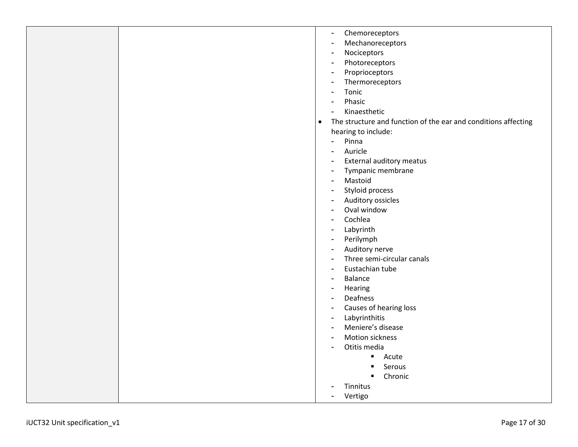|                              | Chemoreceptors<br>-                                                         |
|------------------------------|-----------------------------------------------------------------------------|
|                              | Mechanoreceptors<br>-                                                       |
|                              | Nociceptors                                                                 |
|                              | Photoreceptors                                                              |
|                              | Proprioceptors                                                              |
|                              | Thermoreceptors                                                             |
|                              | Tonic                                                                       |
|                              | Phasic                                                                      |
|                              | Kinaesthetic                                                                |
|                              | The structure and function of the ear and conditions affecting<br>$\bullet$ |
|                              | hearing to include:                                                         |
|                              | Pinna<br>۰.                                                                 |
|                              | Auricle<br>۰                                                                |
|                              | External auditory meatus<br>۰                                               |
|                              | Tympanic membrane                                                           |
|                              | Mastoid                                                                     |
|                              | Styloid process                                                             |
|                              | Auditory ossicles                                                           |
|                              | Oval window                                                                 |
|                              | Cochlea                                                                     |
|                              | Labyrinth                                                                   |
|                              | Perilymph<br>$\blacksquare$                                                 |
|                              | Auditory nerve<br>$\overline{a}$                                            |
|                              | Three semi-circular canals                                                  |
|                              | Eustachian tube<br>$\blacksquare$                                           |
|                              | Balance<br>٠                                                                |
|                              | Hearing<br>$\blacksquare$                                                   |
|                              | Deafness                                                                    |
|                              | Causes of hearing loss<br>$\blacksquare$                                    |
|                              | Labyrinthitis<br>$\blacksquare$                                             |
|                              | Meniere's disease<br>$\blacksquare$                                         |
|                              | Motion sickness                                                             |
|                              | Otitis media                                                                |
|                              | Acute<br>$\blacksquare$                                                     |
|                              | Serous                                                                      |
|                              | Chronic                                                                     |
|                              | Tinnitus                                                                    |
|                              | Vertigo                                                                     |
|                              |                                                                             |
|                              |                                                                             |
| iUCT32 Unit specification_v1 | Page 17 of 30                                                               |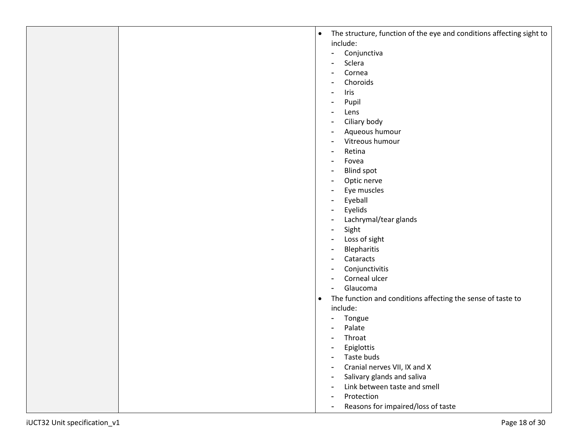|   | $\bullet$ | The structure, function of the eye and conditions affecting sight to |
|---|-----------|----------------------------------------------------------------------|
|   |           | include:                                                             |
|   |           | Conjunctiva<br>$\frac{1}{2}$                                         |
|   |           | Sclera<br>$\overline{a}$                                             |
|   |           | Cornea<br>-                                                          |
|   |           | Choroids<br>$\overline{\phantom{a}}$                                 |
|   |           | Iris<br>۰                                                            |
|   |           | Pupil<br>۰                                                           |
|   |           | Lens<br>۰                                                            |
|   |           | Ciliary body<br>$\overline{\phantom{a}}$                             |
|   |           | Aqueous humour<br>۰                                                  |
|   |           | Vitreous humour<br>۰                                                 |
|   |           | Retina<br>$\overline{\phantom{a}}$                                   |
|   |           | Fovea<br>$\overline{\phantom{a}}$                                    |
|   |           | <b>Blind spot</b><br>۰                                               |
|   |           | Optic nerve<br>۰                                                     |
|   |           | Eye muscles<br>۰                                                     |
|   |           | Eyeball<br>۰                                                         |
|   |           | Eyelids<br>-                                                         |
|   |           | Lachrymal/tear glands<br>$\overline{\phantom{0}}$                    |
|   |           | Sight<br>$\qquad \qquad \blacksquare$                                |
|   |           | Loss of sight<br>۰                                                   |
|   |           | Blepharitis<br>$\blacksquare$                                        |
|   |           | Cataracts<br>$\blacksquare$                                          |
|   |           | Conjunctivitis<br>$\overline{\phantom{a}}$                           |
|   |           | Corneal ulcer<br>$\overline{\phantom{0}}$                            |
|   |           | Glaucoma<br>$\blacksquare$                                           |
|   | $\bullet$ | The function and conditions affecting the sense of taste to          |
|   |           | include:                                                             |
|   |           | Tongue<br>۰                                                          |
|   |           | Palate<br>$\blacksquare$                                             |
|   |           | Throat<br>$\blacksquare$                                             |
|   |           | Epiglottis<br>$\overline{\phantom{0}}$                               |
|   |           | Taste buds                                                           |
|   |           | Cranial nerves VII, IX and X<br>$\overline{\phantom{0}}$             |
|   |           | Salivary glands and saliva<br>$\blacksquare$                         |
|   |           | Link between taste and smell<br>$\overline{\phantom{a}}$             |
|   |           | Protection<br>$\overline{\phantom{a}}$                               |
|   |           | Reasons for impaired/loss of taste<br>$\blacksquare$                 |
| 1 |           | Page 18 of 30                                                        |

- Conjunctiva
- Sclera
- Cornea
- Choroids
- Iris
- Pupil
- Lens
- Ciliary body
- Aqueous humour
- Vitreous humour
- Retina
- Fovea
- Blind spot
- Optic nerve
- Eye muscles
- Eyeball
- Eyelids
- Lachrymal/tear glands
- Sight
- Loss of sight
- Blepharitis
- Cataracts
- Conjunctivitis
- Corneal ulcer
- Glaucoma
- The function and conditions affecting the sense of taste to include:
	- Tongue
	- Palate
	- Throat
	- Epiglottis
	- Taste buds
	- Cranial nerves VII, IX and X
	- Salivary glands and saliva
	- Link between taste and smell
	- Protection
	- Reasons for impaired/loss of taste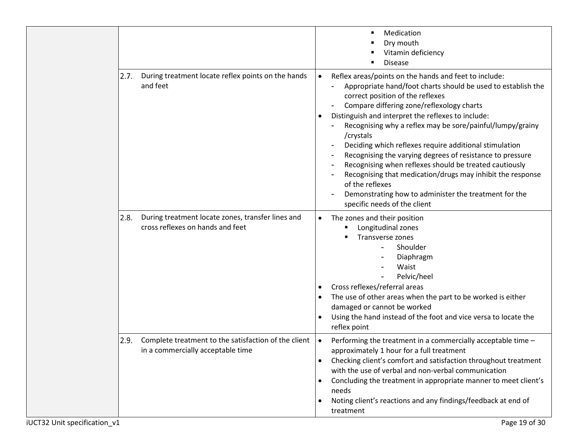|      |                                                                                           |                                                  | Medication<br>Dry mouth<br>Vitamin deficiency<br><b>Disease</b>                                                                                                                                                                                                                                                                                                                                                                                                                                                                                                                                                                                                                                   |
|------|-------------------------------------------------------------------------------------------|--------------------------------------------------|---------------------------------------------------------------------------------------------------------------------------------------------------------------------------------------------------------------------------------------------------------------------------------------------------------------------------------------------------------------------------------------------------------------------------------------------------------------------------------------------------------------------------------------------------------------------------------------------------------------------------------------------------------------------------------------------------|
| 2.7. | During treatment locate reflex points on the hands<br>and feet                            | $\bullet$                                        | Reflex areas/points on the hands and feet to include:<br>Appropriate hand/foot charts should be used to establish the<br>correct position of the reflexes<br>Compare differing zone/reflexology charts<br>Distinguish and interpret the reflexes to include:<br>Recognising why a reflex may be sore/painful/lumpy/grainy<br>/crystals<br>Deciding which reflexes require additional stimulation<br>Recognising the varying degrees of resistance to pressure<br>Recognising when reflexes should be treated cautiously<br>Recognising that medication/drugs may inhibit the response<br>of the reflexes<br>Demonstrating how to administer the treatment for the<br>specific needs of the client |
| 2.8. | During treatment locate zones, transfer lines and<br>cross reflexes on hands and feet     | $\bullet$                                        | The zones and their position<br>Longitudinal zones<br>Transverse zones<br>Shoulder<br>Ξ.<br>Diaphragm<br>Waist<br>Pelvic/heel<br>Cross reflexes/referral areas<br>The use of other areas when the part to be worked is either<br>damaged or cannot be worked<br>Using the hand instead of the foot and vice versa to locate the<br>reflex point                                                                                                                                                                                                                                                                                                                                                   |
| 2.9. | Complete treatment to the satisfaction of the client<br>in a commercially acceptable time | $\bullet$<br>$\bullet$<br>$\bullet$<br>$\bullet$ | Performing the treatment in a commercially acceptable time -<br>approximately 1 hour for a full treatment<br>Checking client's comfort and satisfaction throughout treatment<br>with the use of verbal and non-verbal communication<br>Concluding the treatment in appropriate manner to meet client's<br>needs<br>Noting client's reactions and any findings/feedback at end of<br>treatment                                                                                                                                                                                                                                                                                                     |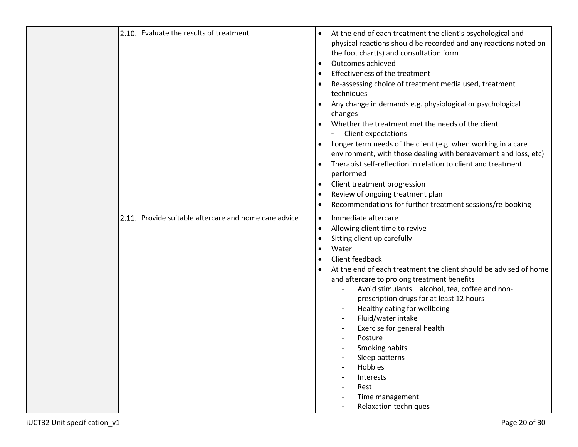| 2.10. Evaluate the results of treatment               | At the end of each treatment the client's psychological and<br>physical reactions should be recorded and any reactions noted on<br>the foot chart(s) and consultation form<br>Outcomes achieved<br>Effectiveness of the treatment<br>Re-assessing choice of treatment media used, treatment<br>techniques<br>Any change in demands e.g. physiological or psychological<br>changes<br>Whether the treatment met the needs of the client<br>- Client expectations<br>Longer term needs of the client (e.g. when working in a care<br>environment, with those dealing with bereavement and loss, etc)<br>Therapist self-reflection in relation to client and treatment<br>performed<br>Client treatment progression<br>$\bullet$<br>Review of ongoing treatment plan<br>Recommendations for further treatment sessions/re-booking |
|-------------------------------------------------------|--------------------------------------------------------------------------------------------------------------------------------------------------------------------------------------------------------------------------------------------------------------------------------------------------------------------------------------------------------------------------------------------------------------------------------------------------------------------------------------------------------------------------------------------------------------------------------------------------------------------------------------------------------------------------------------------------------------------------------------------------------------------------------------------------------------------------------|
| 2.11. Provide suitable aftercare and home care advice | Immediate aftercare<br>$\bullet$<br>Allowing client time to revive<br>$\bullet$<br>Sitting client up carefully<br>Water<br>Client feedback<br>At the end of each treatment the client should be advised of home<br>and aftercare to prolong treatment benefits<br>Avoid stimulants - alcohol, tea, coffee and non-<br>prescription drugs for at least 12 hours<br>Healthy eating for wellbeing<br>Fluid/water intake<br>Exercise for general health<br>Posture<br>Smoking habits<br>Sleep patterns<br>Hobbies<br>Interests<br>Rest<br>Time management<br><b>Relaxation techniques</b>                                                                                                                                                                                                                                          |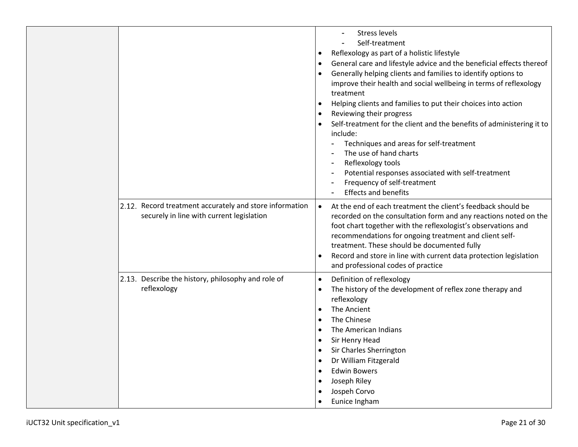|                                                                                                      | <b>Stress levels</b><br>Self-treatment<br>Reflexology as part of a holistic lifestyle<br>$\bullet$<br>General care and lifestyle advice and the beneficial effects thereof<br>$\bullet$<br>Generally helping clients and families to identify options to<br>improve their health and social wellbeing in terms of reflexology<br>treatment<br>Helping clients and families to put their choices into action<br>Reviewing their progress<br>Self-treatment for the client and the benefits of administering it to<br>include:<br>Techniques and areas for self-treatment<br>$\blacksquare$<br>The use of hand charts<br>Reflexology tools<br>Potential responses associated with self-treatment<br>Frequency of self-treatment<br><b>Effects and benefits</b> |
|------------------------------------------------------------------------------------------------------|--------------------------------------------------------------------------------------------------------------------------------------------------------------------------------------------------------------------------------------------------------------------------------------------------------------------------------------------------------------------------------------------------------------------------------------------------------------------------------------------------------------------------------------------------------------------------------------------------------------------------------------------------------------------------------------------------------------------------------------------------------------|
| 2.12. Record treatment accurately and store information<br>securely in line with current legislation | At the end of each treatment the client's feedback should be<br>$\bullet$<br>recorded on the consultation form and any reactions noted on the<br>foot chart together with the reflexologist's observations and<br>recommendations for ongoing treatment and client self-<br>treatment. These should be documented fully<br>Record and store in line with current data protection legislation<br>and professional codes of practice                                                                                                                                                                                                                                                                                                                           |
| 2.13. Describe the history, philosophy and role of<br>reflexology                                    | Definition of reflexology<br>$\bullet$<br>The history of the development of reflex zone therapy and<br>reflexology<br>The Ancient<br>$\bullet$<br>The Chinese<br>$\bullet$<br>The American Indians<br>$\bullet$<br>Sir Henry Head<br>$\bullet$<br>Sir Charles Sherrington<br>Dr William Fitzgerald<br>$\bullet$<br><b>Edwin Bowers</b><br>Joseph Riley<br>Jospeh Corvo<br>Eunice Ingham<br>$\bullet$                                                                                                                                                                                                                                                                                                                                                         |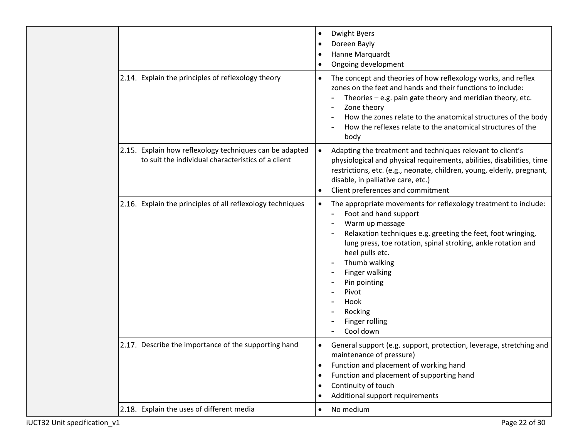|                                                                                                               | Dwight Byers<br>$\bullet$<br>Doreen Bayly<br>$\bullet$<br>Hanne Marquardt<br>$\bullet$<br>Ongoing development<br>$\bullet$                                                                                                                                                                                                                                                                 |
|---------------------------------------------------------------------------------------------------------------|--------------------------------------------------------------------------------------------------------------------------------------------------------------------------------------------------------------------------------------------------------------------------------------------------------------------------------------------------------------------------------------------|
| 2.14. Explain the principles of reflexology theory                                                            | The concept and theories of how reflexology works, and reflex<br>$\bullet$<br>zones on the feet and hands and their functions to include:<br>Theories - e.g. pain gate theory and meridian theory, etc.<br>Zone theory<br>How the zones relate to the anatomical structures of the body<br>How the reflexes relate to the anatomical structures of the<br>body                             |
| 2.15. Explain how reflexology techniques can be adapted<br>to suit the individual characteristics of a client | Adapting the treatment and techniques relevant to client's<br>$\bullet$<br>physiological and physical requirements, abilities, disabilities, time<br>restrictions, etc. (e.g., neonate, children, young, elderly, pregnant,<br>disable, in palliative care, etc.)<br>Client preferences and commitment<br>$\bullet$                                                                        |
| 2.16. Explain the principles of all reflexology techniques                                                    | The appropriate movements for reflexology treatment to include:<br>$\bullet$<br>Foot and hand support<br>Warm up massage<br>Relaxation techniques e.g. greeting the feet, foot wringing,<br>lung press, toe rotation, spinal stroking, ankle rotation and<br>heel pulls etc.<br>Thumb walking<br>Finger walking<br>Pin pointing<br>Pivot<br>Hook<br>Rocking<br>Finger rolling<br>Cool down |
| 2.17. Describe the importance of the supporting hand                                                          | General support (e.g. support, protection, leverage, stretching and<br>$\bullet$<br>maintenance of pressure)<br>Function and placement of working hand<br>$\bullet$<br>Function and placement of supporting hand<br>$\bullet$<br>Continuity of touch<br>$\bullet$<br>Additional support requirements<br>$\bullet$                                                                          |
| 2.18. Explain the uses of different media                                                                     | No medium<br>$\bullet$                                                                                                                                                                                                                                                                                                                                                                     |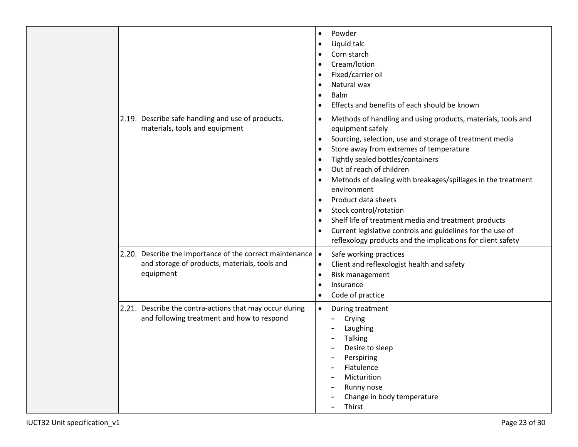|                                                                                                                        | Powder<br>$\bullet$<br>Liquid talc<br>$\bullet$<br>Corn starch<br>$\bullet$<br>Cream/lotion<br>$\bullet$<br>Fixed/carrier oil<br>$\bullet$<br>Natural wax<br>$\bullet$<br>Balm<br>$\bullet$<br>Effects and benefits of each should be known                                                                                                                                                                                                                                                                                                                                                                                                                                                                    |
|------------------------------------------------------------------------------------------------------------------------|----------------------------------------------------------------------------------------------------------------------------------------------------------------------------------------------------------------------------------------------------------------------------------------------------------------------------------------------------------------------------------------------------------------------------------------------------------------------------------------------------------------------------------------------------------------------------------------------------------------------------------------------------------------------------------------------------------------|
| 2.19. Describe safe handling and use of products,<br>materials, tools and equipment                                    | Methods of handling and using products, materials, tools and<br>$\bullet$<br>equipment safely<br>Sourcing, selection, use and storage of treatment media<br>$\bullet$<br>Store away from extremes of temperature<br>$\bullet$<br>Tightly sealed bottles/containers<br>$\bullet$<br>Out of reach of children<br>$\bullet$<br>Methods of dealing with breakages/spillages in the treatment<br>$\bullet$<br>environment<br>Product data sheets<br>$\bullet$<br>Stock control/rotation<br>$\bullet$<br>Shelf life of treatment media and treatment products<br>$\bullet$<br>Current legislative controls and guidelines for the use of<br>$\bullet$<br>reflexology products and the implications for client safety |
| 2.20. Describe the importance of the correct maintenance<br>and storage of products, materials, tools and<br>equipment | Safe working practices<br>$\bullet$<br>Client and reflexologist health and safety<br>$\bullet$<br>Risk management<br>$\bullet$<br>Insurance<br>$\bullet$<br>Code of practice<br>$\bullet$                                                                                                                                                                                                                                                                                                                                                                                                                                                                                                                      |
| 2.21. Describe the contra-actions that may occur during<br>and following treatment and how to respond                  | $\bullet$<br>During treatment<br>Crying<br>Laughing<br><b>Talking</b><br>Desire to sleep<br>Perspiring<br>Flatulence<br>Micturition<br>Runny nose<br>Change in body temperature<br>Thirst                                                                                                                                                                                                                                                                                                                                                                                                                                                                                                                      |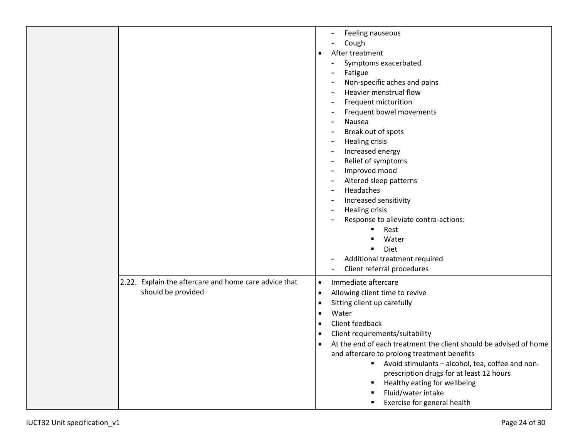| Feeling nauseous<br>Cough<br>After treatment<br>$\bullet$<br>Symptoms exacerbated<br>Fatigue<br>Non-specific aches and pains<br>Heavier menstrual flow<br>Frequent micturition<br>Frequent bowel movements<br>Nausea<br>Break out of spots<br><b>Healing crisis</b><br>Increased energy<br>Relief of symptoms<br>Improved mood<br>Altered sleep patterns<br>Headaches<br>Increased sensitivity<br><b>Healing crisis</b><br>Response to alleviate contra-actions:<br>Rest<br>Water<br>Diet<br>п |                                                                             |                                                                                                                                                                                                                                                                                                                                                                                                                                                                                                                                                                                  |
|------------------------------------------------------------------------------------------------------------------------------------------------------------------------------------------------------------------------------------------------------------------------------------------------------------------------------------------------------------------------------------------------------------------------------------------------------------------------------------------------|-----------------------------------------------------------------------------|----------------------------------------------------------------------------------------------------------------------------------------------------------------------------------------------------------------------------------------------------------------------------------------------------------------------------------------------------------------------------------------------------------------------------------------------------------------------------------------------------------------------------------------------------------------------------------|
|                                                                                                                                                                                                                                                                                                                                                                                                                                                                                                |                                                                             |                                                                                                                                                                                                                                                                                                                                                                                                                                                                                                                                                                                  |
|                                                                                                                                                                                                                                                                                                                                                                                                                                                                                                | 2.22. Explain the aftercare and home care advice that<br>should be provided | Immediate aftercare<br>$\bullet$<br>Allowing client time to revive<br>$\bullet$<br>Sitting client up carefully<br>$\bullet$<br>Water<br>$\bullet$<br>Client feedback<br>$\bullet$<br>Client requirements/suitability<br>٠<br>At the end of each treatment the client should be advised of home<br>and aftercare to prolong treatment benefits<br>Avoid stimulants - alcohol, tea, coffee and non-<br>٠<br>prescription drugs for at least 12 hours<br>Healthy eating for wellbeing<br>$\blacksquare$<br>Fluid/water intake<br>п<br>Exercise for general health<br>$\blacksquare$ |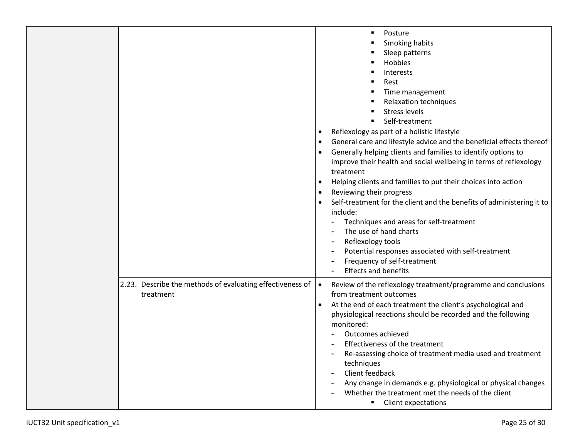|                                                                        | Posture<br>Smoking habits<br>Sleep patterns<br>Hobbies<br>Interests<br>Rest<br>Time management<br><b>Relaxation techniques</b><br><b>Stress levels</b><br>Self-treatment<br>Reflexology as part of a holistic lifestyle<br>$\bullet$<br>General care and lifestyle advice and the beneficial effects thereof<br>$\bullet$<br>Generally helping clients and families to identify options to<br>improve their health and social wellbeing in terms of reflexology<br>treatment<br>Helping clients and families to put their choices into action<br>٠<br>Reviewing their progress<br>٠<br>Self-treatment for the client and the benefits of administering it to<br>$\bullet$<br>include:<br>Techniques and areas for self-treatment<br>The use of hand charts<br>Reflexology tools<br>Potential responses associated with self-treatment<br>Frequency of self-treatment<br><b>Effects and benefits</b> |
|------------------------------------------------------------------------|-----------------------------------------------------------------------------------------------------------------------------------------------------------------------------------------------------------------------------------------------------------------------------------------------------------------------------------------------------------------------------------------------------------------------------------------------------------------------------------------------------------------------------------------------------------------------------------------------------------------------------------------------------------------------------------------------------------------------------------------------------------------------------------------------------------------------------------------------------------------------------------------------------|
| 2.23. Describe the methods of evaluating effectiveness of<br>treatment | Review of the reflexology treatment/programme and conclusions<br>$\bullet$<br>from treatment outcomes<br>At the end of each treatment the client's psychological and<br>physiological reactions should be recorded and the following<br>monitored:<br>Outcomes achieved<br>Effectiveness of the treatment<br>Re-assessing choice of treatment media used and treatment<br>techniques<br>Client feedback<br>Any change in demands e.g. physiological or physical changes<br>Whether the treatment met the needs of the client<br><b>Client expectations</b>                                                                                                                                                                                                                                                                                                                                          |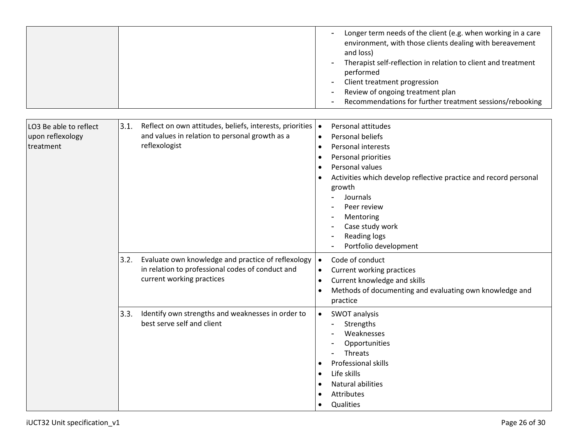|                                                         |                                                                                                                                             | Longer term needs of the client (e.g. when working in a care<br>environment, with those clients dealing with bereavement<br>and loss)<br>Therapist self-reflection in relation to client and treatment<br>performed<br>Client treatment progression<br>Review of ongoing treatment plan<br>Recommendations for further treatment sessions/rebooking |
|---------------------------------------------------------|---------------------------------------------------------------------------------------------------------------------------------------------|-----------------------------------------------------------------------------------------------------------------------------------------------------------------------------------------------------------------------------------------------------------------------------------------------------------------------------------------------------|
| LO3 Be able to reflect<br>upon reflexology<br>treatment | 3.1.<br>Reflect on own attitudes, beliefs, interests, priorities   •<br>and values in relation to personal growth as a<br>reflexologist     | Personal attitudes<br>Personal beliefs<br>$\bullet$<br><b>Personal interests</b>                                                                                                                                                                                                                                                                    |
|                                                         |                                                                                                                                             | $\bullet$<br>Personal priorities<br>$\bullet$<br>Personal values<br>$\bullet$<br>Activities which develop reflective practice and record personal<br>$\bullet$<br>growth<br>Journals<br>Peer review<br>Mentoring<br>Case study work<br>Reading logs<br>Portfolio development                                                                        |
|                                                         | Evaluate own knowledge and practice of reflexology<br>3.2.<br>in relation to professional codes of conduct and<br>current working practices | Code of conduct<br>$\bullet$<br>Current working practices<br>$\bullet$<br>Current knowledge and skills<br>$\bullet$<br>Methods of documenting and evaluating own knowledge and<br>$\bullet$<br>practice                                                                                                                                             |
|                                                         | 3.3.<br>Identify own strengths and weaknesses in order to<br>best serve self and client                                                     | SWOT analysis<br>$\bullet$<br>Strengths<br>Weaknesses<br>Opportunities<br>Threats<br>Professional skills<br>Life skills<br>$\bullet$<br>Natural abilities<br>Attributes<br>Qualities                                                                                                                                                                |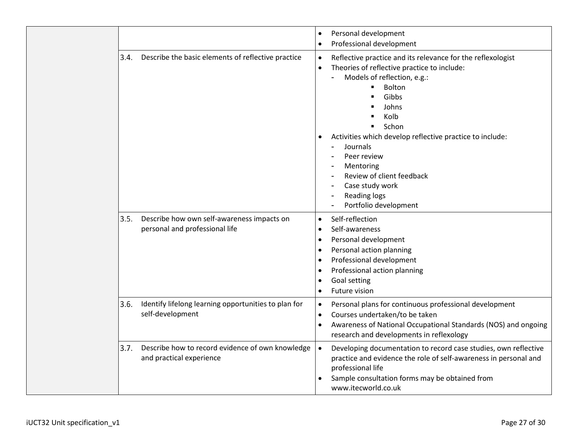|      |                                                                              | Personal development<br>$\bullet$<br>Professional development<br>$\bullet$                                                                                                                                                                                                                                                                                                                                                                    |
|------|------------------------------------------------------------------------------|-----------------------------------------------------------------------------------------------------------------------------------------------------------------------------------------------------------------------------------------------------------------------------------------------------------------------------------------------------------------------------------------------------------------------------------------------|
| 3.4. | Describe the basic elements of reflective practice                           | Reflective practice and its relevance for the reflexologist<br>$\bullet$<br>Theories of reflective practice to include:<br>$\bullet$<br>Models of reflection, e.g.:<br><b>Bolton</b><br>п<br>Gibbs<br>Johns<br>Kolb<br>Schon<br>Activities which develop reflective practice to include:<br>$\bullet$<br>Journals<br>Peer review<br>Mentoring<br>Review of client feedback<br>Case study work<br><b>Reading logs</b><br>Portfolio development |
| 3.5. | Describe how own self-awareness impacts on<br>personal and professional life | Self-reflection<br>$\bullet$<br>Self-awareness<br>$\bullet$<br>Personal development<br>$\bullet$<br>Personal action planning<br>$\bullet$<br>Professional development<br>$\bullet$<br>Professional action planning<br>$\bullet$<br>Goal setting<br>$\bullet$<br>Future vision<br>$\bullet$                                                                                                                                                    |
| 3.6. | Identify lifelong learning opportunities to plan for<br>self-development     | Personal plans for continuous professional development<br>$\bullet$<br>Courses undertaken/to be taken<br>$\bullet$<br>Awareness of National Occupational Standards (NOS) and ongoing<br>$\bullet$<br>research and developments in reflexology                                                                                                                                                                                                 |
| 3.7. | Describe how to record evidence of own knowledge<br>and practical experience | Developing documentation to record case studies, own reflective<br>$\bullet$<br>practice and evidence the role of self-awareness in personal and<br>professional life<br>Sample consultation forms may be obtained from<br>www.itecworld.co.uk                                                                                                                                                                                                |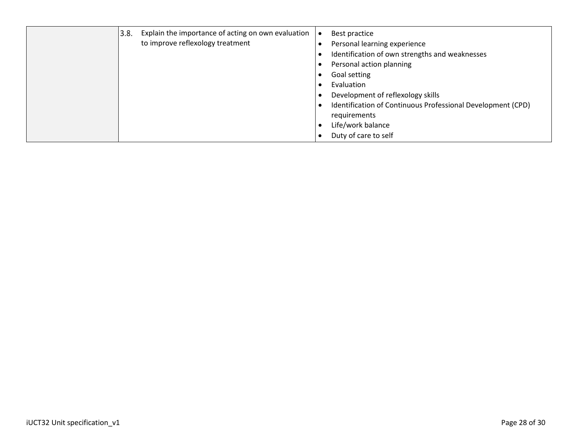|  | 3.8. | Explain the importance of acting on own evaluation<br>to improve reflexology treatment |  | Best practice<br>Personal learning experience<br>Identification of own strengths and weaknesses<br>Personal action planning<br>Goal setting<br>Evaluation<br>Development of reflexology skills<br>Identification of Continuous Professional Development (CPD)<br>requirements<br>Life/work balance<br>Duty of care to self |  |
|--|------|----------------------------------------------------------------------------------------|--|----------------------------------------------------------------------------------------------------------------------------------------------------------------------------------------------------------------------------------------------------------------------------------------------------------------------------|--|
|--|------|----------------------------------------------------------------------------------------|--|----------------------------------------------------------------------------------------------------------------------------------------------------------------------------------------------------------------------------------------------------------------------------------------------------------------------------|--|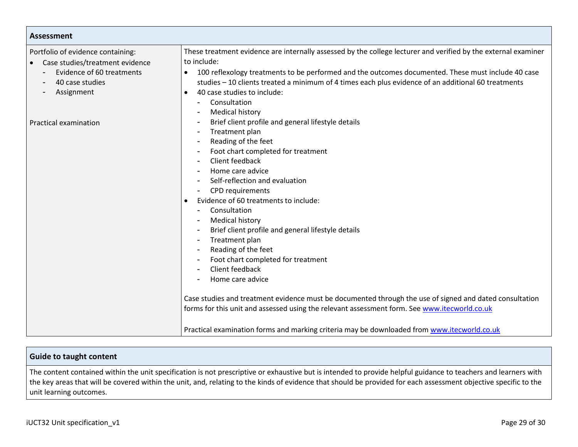| Assessment                                                           |                                                                                                                                                                                                                                                                                                                                                                                                                                                                                                                                                                                                                                                                                                          |  |  |
|----------------------------------------------------------------------|----------------------------------------------------------------------------------------------------------------------------------------------------------------------------------------------------------------------------------------------------------------------------------------------------------------------------------------------------------------------------------------------------------------------------------------------------------------------------------------------------------------------------------------------------------------------------------------------------------------------------------------------------------------------------------------------------------|--|--|
| Portfolio of evidence containing:<br>Case studies/treatment evidence | These treatment evidence are internally assessed by the college lecturer and verified by the external examiner<br>to include:                                                                                                                                                                                                                                                                                                                                                                                                                                                                                                                                                                            |  |  |
| Evidence of 60 treatments<br>40 case studies<br>Assignment           | 100 reflexology treatments to be performed and the outcomes documented. These must include 40 case<br>studies - 10 clients treated a minimum of 4 times each plus evidence of an additional 60 treatments<br>40 case studies to include:<br>$\bullet$<br>Consultation<br><b>Medical history</b>                                                                                                                                                                                                                                                                                                                                                                                                          |  |  |
| Practical examination                                                | Brief client profile and general lifestyle details<br>Treatment plan<br>Reading of the feet<br>Foot chart completed for treatment<br>Client feedback<br>Home care advice<br>Self-reflection and evaluation<br>CPD requirements<br>Evidence of 60 treatments to include:<br>Consultation<br><b>Medical history</b><br>Brief client profile and general lifestyle details<br>Treatment plan<br>Reading of the feet<br>Foot chart completed for treatment<br>Client feedback<br>Home care advice<br>Case studies and treatment evidence must be documented through the use of signed and dated consultation<br>forms for this unit and assessed using the relevant assessment form. See www.itecworld.co.uk |  |  |
|                                                                      | Practical examination forms and marking criteria may be downloaded from www.itecworld.co.uk                                                                                                                                                                                                                                                                                                                                                                                                                                                                                                                                                                                                              |  |  |

### **Guide to taught content**

The content contained within the unit specification is not prescriptive or exhaustive but is intended to provide helpful guidance to teachers and learners with the key areas that will be covered within the unit, and, relating to the kinds of evidence that should be provided for each assessment objective specific to the unit learning outcomes.